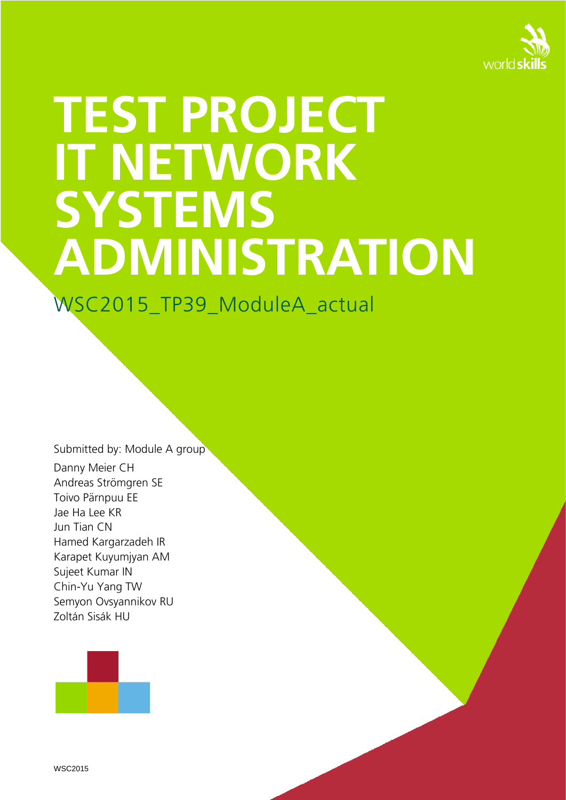

# **TEST PROJECT IT NETWORK SYSTEMS ADMINISTRATION**

WSC2015\_TP39\_ModuleA\_actual

Submitted by: Module A group Danny Meier CH Andreas Strömgren SE Toivo Pärnpuu EE Jae Ha Lee KR Jun Tian CN Hamed Kargarzadeh IR Karapet Kuyumjyan AM Sujeet Kumar IN Chin-Yu Yang TW Semyon Ovsyannikov RU Zoltán Sisák HU

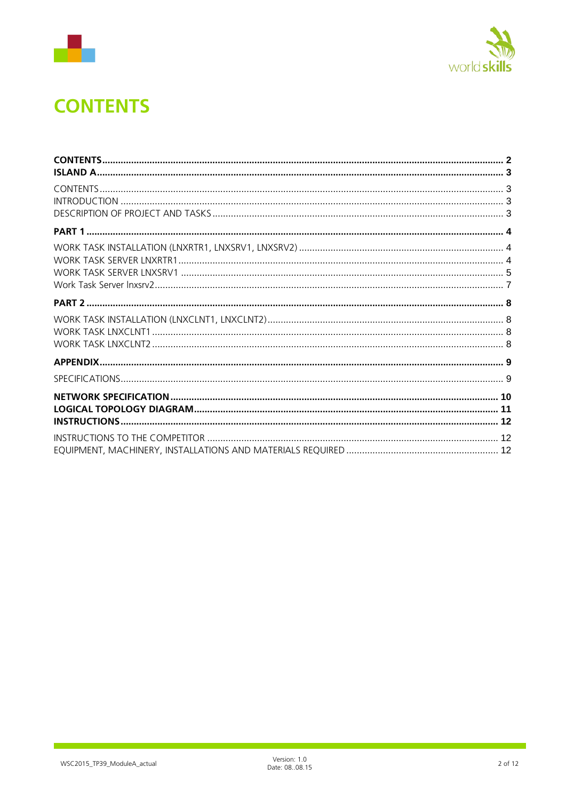



# <span id="page-1-0"></span>**CONTENTS**

Ī,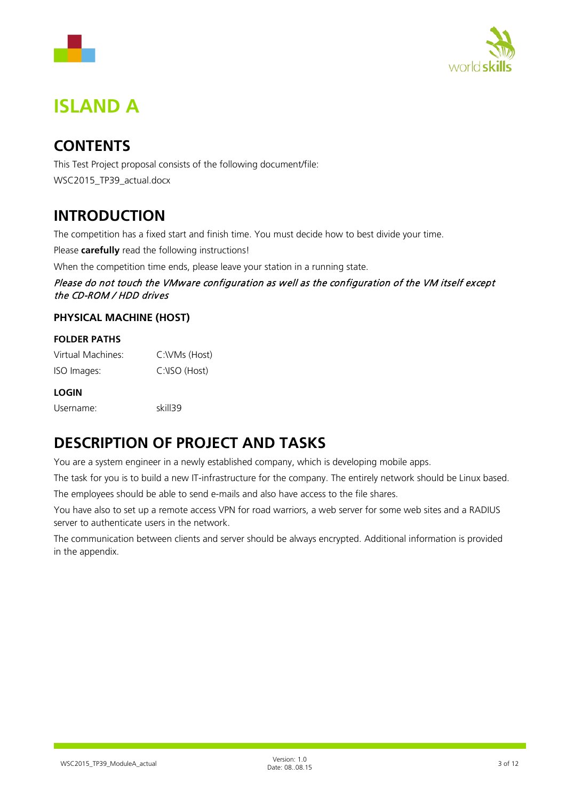



# <span id="page-2-0"></span>**ISLAND A**

## <span id="page-2-1"></span>**CONTENTS**

This Test Project proposal consists of the following document/file: WSC2015\_TP39\_actual.docx

#### <span id="page-2-2"></span>**INTRODUCTION**

The competition has a fixed start and finish time. You must decide how to best divide your time.

Please **carefully** read the following instructions!

When the competition time ends, please leave your station in a running state.

Please do not touch the VMware configuration as well as the configuration of the VM itself except the CD-ROM / HDD drives

#### **PHYSICAL MACHINE (HOST)**

#### **FOLDER PATHS**

| Virtual Machines: | C:\VMs (Host) |
|-------------------|---------------|
| ISO Images:       | C:\ISO (Host) |

#### **LOGIN**

| Username: | skill39 |
|-----------|---------|
|           |         |

## <span id="page-2-3"></span>**DESCRIPTION OF PROJECT AND TASKS**

You are a system engineer in a newly established company, which is developing mobile apps.

The task for you is to build a new IT-infrastructure for the company. The entirely network should be Linux based.

The employees should be able to send e-mails and also have access to the file shares.

You have also to set up a remote access VPN for road warriors, a web server for some web sites and a RADIUS server to authenticate users in the network.

The communication between clients and server should be always encrypted. Additional information is provided in the appendix.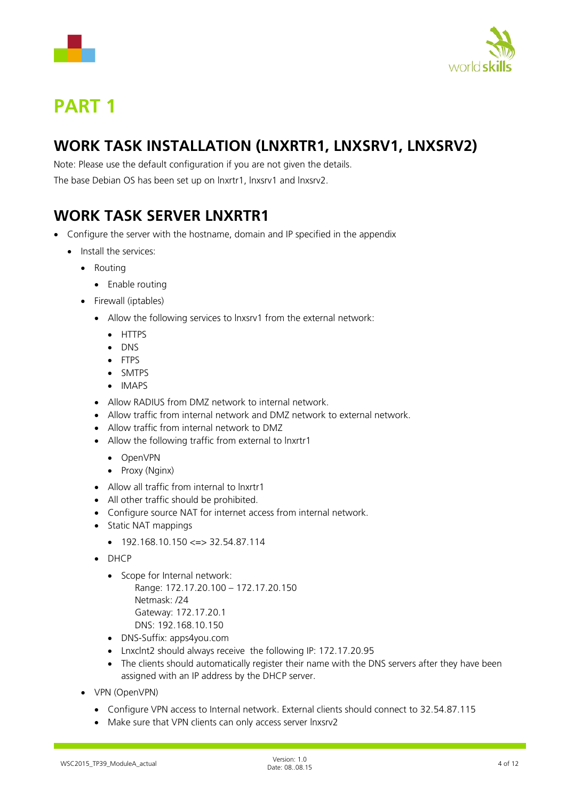



# <span id="page-3-0"></span>**PART 1**

## <span id="page-3-1"></span>**WORK TASK INSTALLATION (LNXRTR1, LNXSRV1, LNXSRV2)**

Note: Please use the default configuration if you are not given the details.

The base Debian OS has been set up on lnxrtr1, lnxsrv1 and lnxsrv2.

## <span id="page-3-2"></span>**WORK TASK SERVER LNXRTR1**

- Configure the server with the hostname, domain and IP specified in the appendix
	- Install the services:
		- Routing
			- Enable routing
		- Firewall (iptables)
			- Allow the following services to lnxsrv1 from the external network:
				- HTTPS
				- DNS
				- FTPS
				- SMTPS
				- IMAPS
			- Allow RADIUS from DMZ network to internal network.
			- Allow traffic from internal network and DMZ network to external network.
			- Allow traffic from internal network to DMZ
			- Allow the following traffic from external to lnxrtr1
				- OpenVPN
				- Proxy (Nginx)
			- Allow all traffic from internal to lnxrtr1
			- All other traffic should be prohibited.
			- Configure source NAT for internet access from internal network.
			- Static NAT mappings
				- $192.168.10.150 \leq z \leq 32.54.87.114$
			- DHCP
				- Scope for Internal network: Range: 172.17.20.100 – 172.17.20.150 Netmask: /24 Gateway: 172.17.20.1 DNS: 192.168.10.150
				- DNS-Suffix: apps4you.com
				- Lnxclnt2 should always receive the following IP: 172.17.20.95
				- The clients should automatically register their name with the DNS servers after they have been assigned with an IP address by the DHCP server.
		- VPN (OpenVPN)
			- Configure VPN access to Internal network. External clients should connect to 32.54.87.115
			- Make sure that VPN clients can only access server lnxsrv2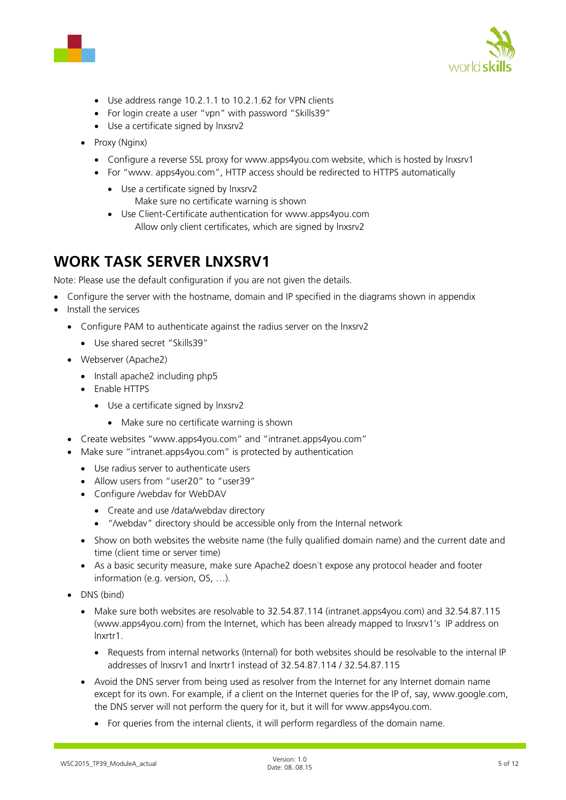



- Use address range 10.2.1.1 to 10.2.1.62 for VPN clients
- For login create a user "vpn" with password "Skills39"
- Use a certificate signed by lnxsrv2
- Proxy (Nginx)
	- Configure a reverse SSL proxy for www.apps4you.com website, which is hosted by lnxsrv1
	- For "www. apps4you.com", HTTP access should be redirected to HTTPS automatically
		- Use a certificate signed by lnxsrv2 Make sure no certificate warning is shown
		- Use Client-Certificate authentication for www.apps4you.com Allow only client certificates, which are signed by lnxsrv2

#### <span id="page-4-0"></span>**WORK TASK SERVER LNXSRV1**

Note: Please use the default configuration if you are not given the details.

• Configure the server with the hostname, domain and IP specified in the diagrams shown in appendix

- Install the services
	- Configure PAM to authenticate against the radius server on the lnxsrv2
		- Use shared secret "Skills39"
	- Webserver (Apache2)
		- Install apache2 including php5
		- Enable HTTPS
			- Use a certificate signed by lnxsrv2
				- Make sure no certificate warning is shown
	- Create websites "www.apps4you.com" and "intranet.apps4you.com"
	- Make sure "intranet.apps4you.com" is protected by authentication
		- Use radius server to authenticate users
		- Allow users from "user20" to "user39"
		- Configure /webdav for WebDAV
			- Create and use /data/webdav directory
			- "/webdav" directory should be accessible only from the Internal network
		- Show on both websites the website name (the fully qualified domain name) and the current date and time (client time or server time)
		- As a basic security measure, make sure Apache2 doesn´t expose any protocol header and footer information (e.g. version, OS, …).
	- DNS (bind)
		- Make sure both websites are resolvable to 32.54.87.114 (intranet.apps4you.com) and 32.54.87.115 (www.apps4you.com) from the Internet, which has been already mapped to lnxsrv1's IP address on lnxrtr1.
			- Requests from internal networks (Internal) for both websites should be resolvable to the internal IP addresses of lnxsrv1 and lnxrtr1 instead of 32.54.87.114 / 32.54.87.115
		- Avoid the DNS server from being used as resolver from the Internet for any Internet domain name except for its own. For example, if a client on the Internet queries for the IP of, say, www.google.com, the DNS server will not perform the query for it, but it will for www.apps4you.com.
			- For queries from the internal clients, it will perform regardless of the domain name.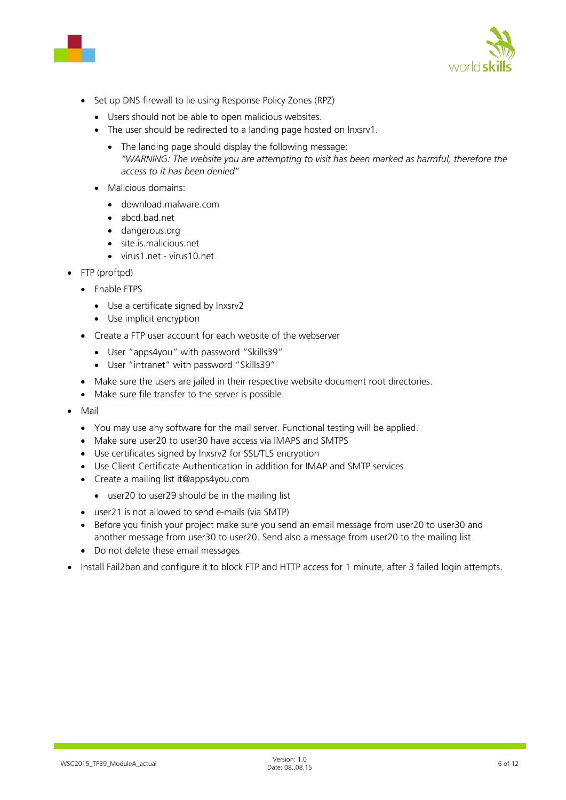



- Set up DNS firewall to lie using Response Policy Zones (RPZ)
	- Users should not be able to open malicious websites.
	- The user should be redirected to a landing page hosted on lnxsrv1.
		- The landing page should display the following message: *"WARNING: The website you are attempting to visit has been marked as harmful, therefore the access to it has been denied*"
	- Malicious domains:
		- download.malware.com
		- abcd.bad.net
		- dangerous.org
		- site.is.malicious.net
		- virus1.net virus10.net
- FTP (proftpd)
	- Enable FTPS
		- Use a certificate signed by lnxsrv2
		- Use implicit encryption
	- Create a FTP user account for each website of the webserver
		- User "apps4you" with password "Skills39"
		- User "intranet" with password "Skills39"
	- Make sure the users are jailed in their respective website document root directories.
	- Make sure file transfer to the server is possible.
- Mail
	- You may use any software for the mail server. Functional testing will be applied.
	- Make sure user20 to user30 have access via IMAPS and SMTPS
	- Use certificates signed by lnxsrv2 for SSL/TLS encryption
	- Use Client Certificate Authentication in addition for IMAP and SMTP services
	- Create a mailing list it@apps4you.com
		- user20 to user29 should be in the mailing list
	- user21 is not allowed to send e-mails (via SMTP)
	- Before you finish your project make sure you send an email message from user20 to user30 and another message from user30 to user20. Send also a message from user20 to the mailing list
	- Do not delete these email messages
- Install Fail2ban and configure it to block FTP and HTTP access for 1 minute, after 3 failed login attempts.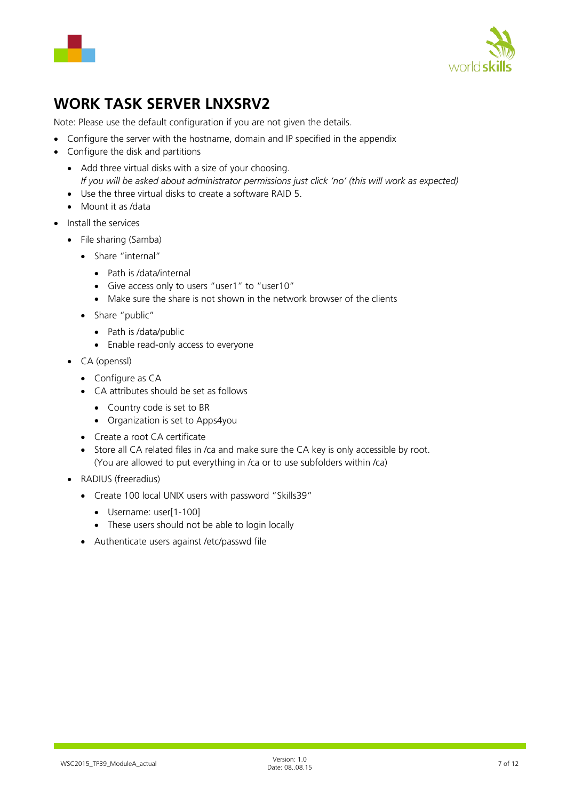



## <span id="page-6-0"></span>**WORK TASK SERVER LNXSRV2**

Note: Please use the default configuration if you are not given the details.

- Configure the server with the hostname, domain and IP specified in the appendix
- Configure the disk and partitions
	- Add three virtual disks with a size of your choosing. *If you will be asked about administrator permissions just click 'no' (this will work as expected)*
	- Use the three virtual disks to create a software RAID 5.
	- Mount it as /data
- Install the services
	- File sharing (Samba)
		- Share "internal"
			- Path is /data/internal
			- Give access only to users "user1" to "user10"
			- Make sure the share is not shown in the network browser of the clients
		- Share "public"
			- Path is /data/public
			- Enable read-only access to everyone
	- CA (openssl)
		- Configure as CA
		- CA attributes should be set as follows
			- Country code is set to BR
			- Organization is set to Apps4you
		- Create a root CA certificate
		- Store all CA related files in /ca and make sure the CA key is only accessible by root. (You are allowed to put everything in /ca or to use subfolders within /ca)
	- RADIUS (freeradius)
		- Create 100 local UNIX users with password "Skills39"
			- Username: user[1-100]
			- These users should not be able to login locally
		- Authenticate users against /etc/passwd file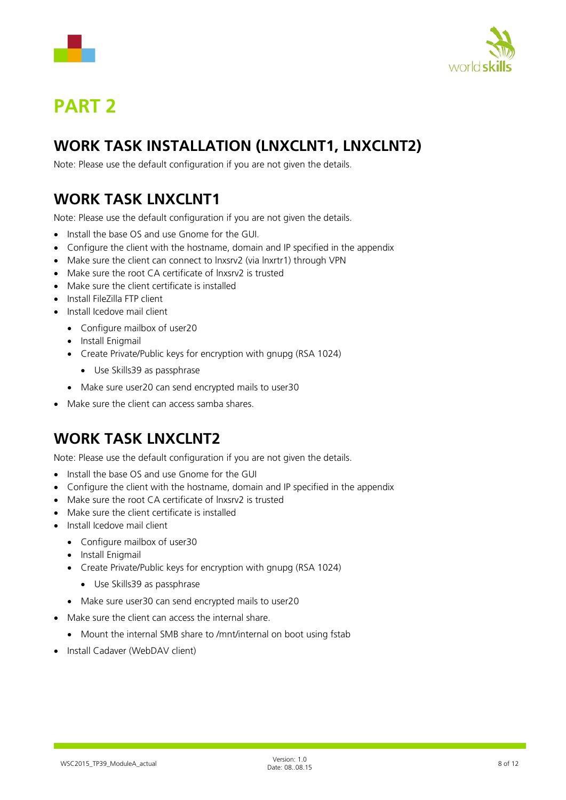



# <span id="page-7-0"></span>**PART 2**

## <span id="page-7-1"></span>**WORK TASK INSTALLATION (LNXCLNT1, LNXCLNT2)**

Note: Please use the default configuration if you are not given the details.

## <span id="page-7-2"></span>**WORK TASK LNXCLNT1**

Note: Please use the default configuration if you are not given the details.

- Install the base OS and use Gnome for the GUI.
- Configure the client with the hostname, domain and IP specified in the appendix
- Make sure the client can connect to lnxsrv2 (via lnxrtr1) through VPN
- Make sure the root CA certificate of lnxsrv2 is trusted
- Make sure the client certificate is installed
- Install FileZilla FTP client
- Install Icedove mail client
	- Configure mailbox of user20
	- Install Enigmail
	- Create Private/Public keys for encryption with gnupg (RSA 1024)
		- Use Skills39 as passphrase
	- Make sure user20 can send encrypted mails to user30
- <span id="page-7-3"></span>• Make sure the client can access samba shares.

## **WORK TASK LNXCLNT2**

Note: Please use the default configuration if you are not given the details.

- Install the base OS and use Gnome for the GUI
- Configure the client with the hostname, domain and IP specified in the appendix
- Make sure the root CA certificate of lnxsrv2 is trusted
- Make sure the client certificate is installed
- Install Icedove mail client
	- Configure mailbox of user30
	- Install Enigmail
	- Create Private/Public keys for encryption with gnupg (RSA 1024)
		- Use Skills39 as passphrase
	- Make sure user30 can send encrypted mails to user20
- Make sure the client can access the internal share.
	- Mount the internal SMB share to /mnt/internal on boot using fstab
- Install Cadaver (WebDAV client)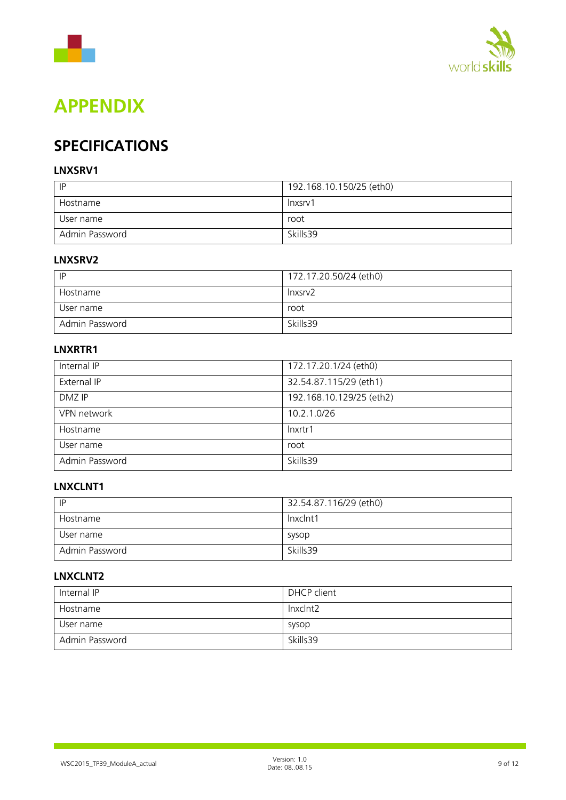



## <span id="page-8-0"></span>**APPENDIX**

## <span id="page-8-1"></span>**SPECIFICATIONS**

#### **LNXSRV1**

| IP             | 192.168.10.150/25 (eth0) |
|----------------|--------------------------|
| Hostname       | lnxsrv1                  |
| User name      | root                     |
| Admin Password | Skills39                 |

#### **LNXSRV2**

| P              | 172.17.20.50/24 (eth0) |
|----------------|------------------------|
| Hostname       | lnxsrv <sub>2</sub>    |
| User name      | root                   |
| Admin Password | Skills39               |

#### **LNXRTR1**

| Internal IP    | 172.17.20.1/24 (eth0)    |
|----------------|--------------------------|
| External IP    | 32.54.87.115/29 (eth1)   |
| DMZ IP         | 192.168.10.129/25 (eth2) |
| VPN network    | 10.2.1.0/26              |
| Hostname       | Inxrtr1                  |
| User name      | root                     |
| Admin Password | Skills39                 |

#### **LNXCLNT1**

| P              | 32.54.87.116/29 (eth0) |
|----------------|------------------------|
| Hostname       | Inxclnt1               |
| User name      | sysop                  |
| Admin Password | Skills 39              |

#### **LNXCLNT2**

| Internal IP    | DHCP client |
|----------------|-------------|
| Hostname       | lnxclnt2    |
| User name      | sysop       |
| Admin Password | Skills39    |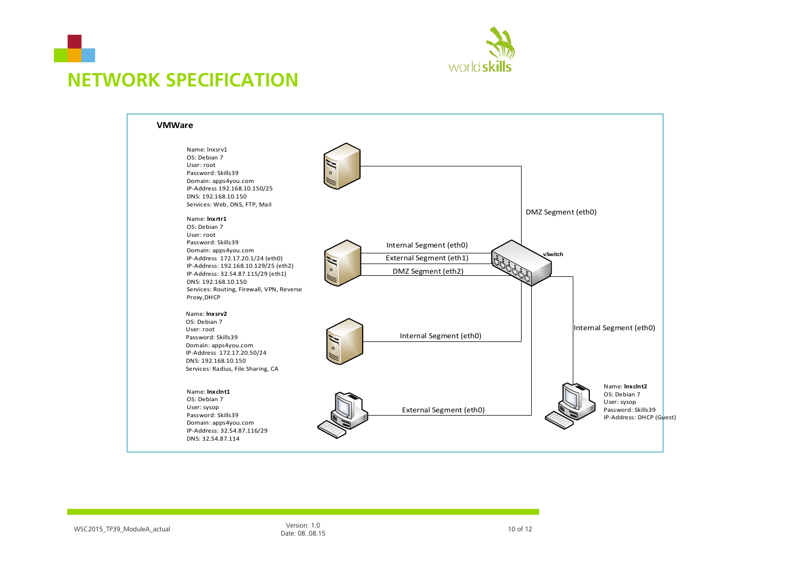



## **NETWORK SPECIFICATION**

<span id="page-9-0"></span>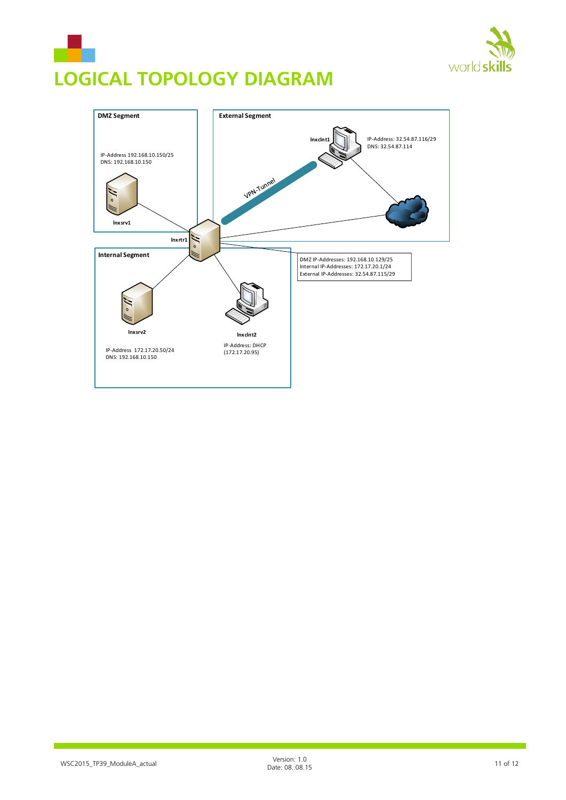

# <span id="page-10-0"></span>**LOGICAL TOPOLOGY DIAGRAM**